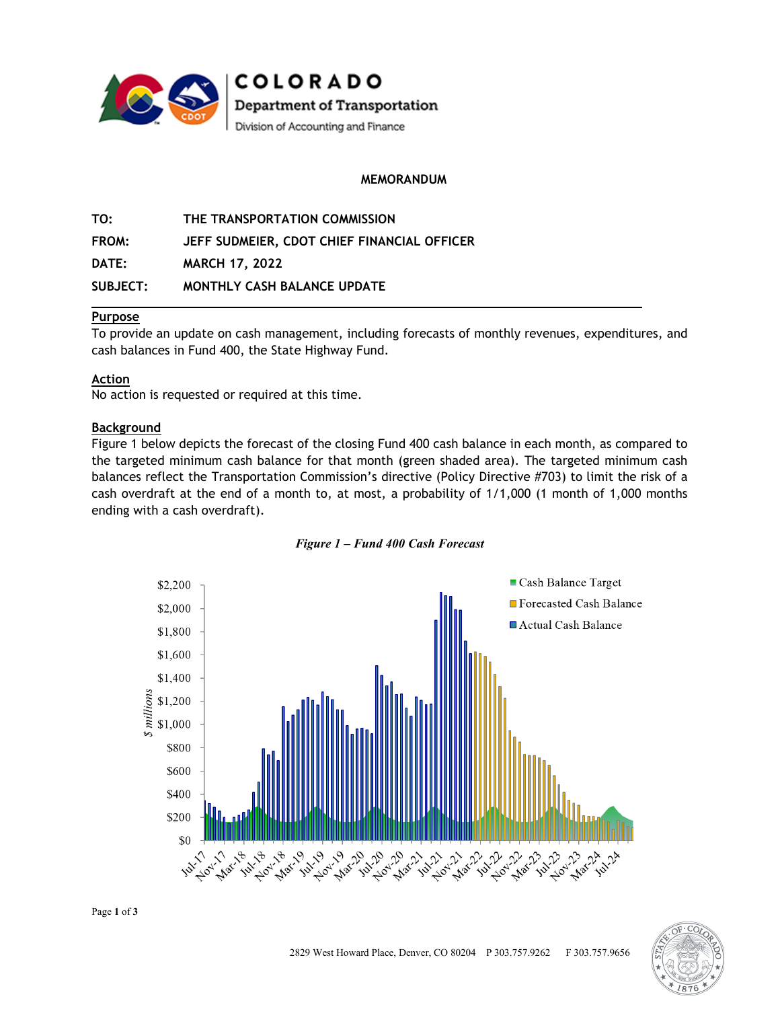

**COLORADO** Department of Transportation Division of Accounting and Finance

## **MEMORANDUM**

**TO: THE TRANSPORTATION COMMISSION FROM: JEFF SUDMEIER, CDOT CHIEF FINANCIAL OFFICER DATE: MARCH 17, 2022 SUBJECT: MONTHLY CASH BALANCE UPDATE**

## **Purpose**

To provide an update on cash management, including forecasts of monthly revenues, expenditures, and cash balances in Fund 400, the State Highway Fund.

#### **Action**

No action is requested or required at this time.

## **Background**

Figure 1 below depicts the forecast of the closing Fund 400 cash balance in each month, as compared to the targeted minimum cash balance for that month (green shaded area). The targeted minimum cash balances reflect the Transportation Commission's directive (Policy Directive #703) to limit the risk of a cash overdraft at the end of a month to, at most, a probability of 1/1,000 (1 month of 1,000 months ending with a cash overdraft).





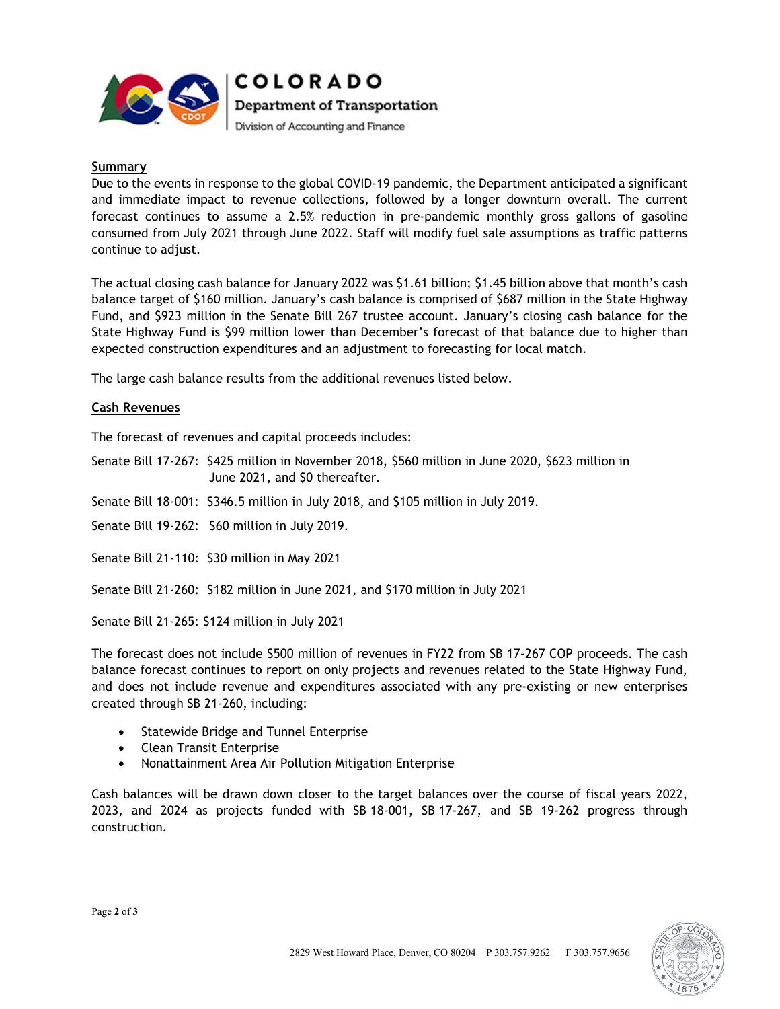

**COLORADO** Department of Transportation Division of Accounting and Finance

#### **Summary**

Due to the events in response to the global COVID-19 pandemic, the Department anticipated a significant and immediate impact to revenue collections, followed by a longer downturn overall. The current forecast continues to assume a 2.5% reduction in pre-pandemic monthly gross gallons of gasoline consumed from July 2021 through June 2022. Staff will modify fuel sale assumptions as traffic patterns continue to adjust.

The actual closing cash balance for January 2022 was \$1.61 billion; \$1.45 billion above that month's cash balance target of \$160 million. January's cash balance is comprised of \$687 million in the State Highway Fund, and \$923 million in the Senate Bill 267 trustee account. January's closing cash balance for the State Highway Fund is \$99 million lower than December's forecast of that balance due to higher than expected construction expenditures and an adjustment to forecasting for local match.

The large cash balance results from the additional revenues listed below.

## **Cash Revenues**

The forecast of revenues and capital proceeds includes:

Senate Bill 17-267: \$425 million in November 2018, \$560 million in June 2020, \$623 million in June 2021, and \$0 thereafter.

Senate Bill 18-001: \$346.5 million in July 2018, and \$105 million in July 2019.

Senate Bill 19-262: \$60 million in July 2019.

Senate Bill 21-110: \$30 million in May 2021

Senate Bill 21-260: \$182 million in June 2021, and \$170 million in July 2021

Senate Bill 21-265: \$124 million in July 2021

The forecast does not include \$500 million of revenues in FY22 from SB 17-267 COP proceeds. The cash balance forecast continues to report on only projects and revenues related to the State Highway Fund, and does not include revenue and expenditures associated with any pre-existing or new enterprises created through SB 21-260, including:

- Statewide Bridge and Tunnel Enterprise
- Clean Transit Enterprise
- Nonattainment Area Air Pollution Mitigation Enterprise

Cash balances will be drawn down closer to the target balances over the course of fiscal years 2022, 2023, and 2024 as projects funded with SB 18-001, SB 17-267, and SB 19-262 progress through construction.

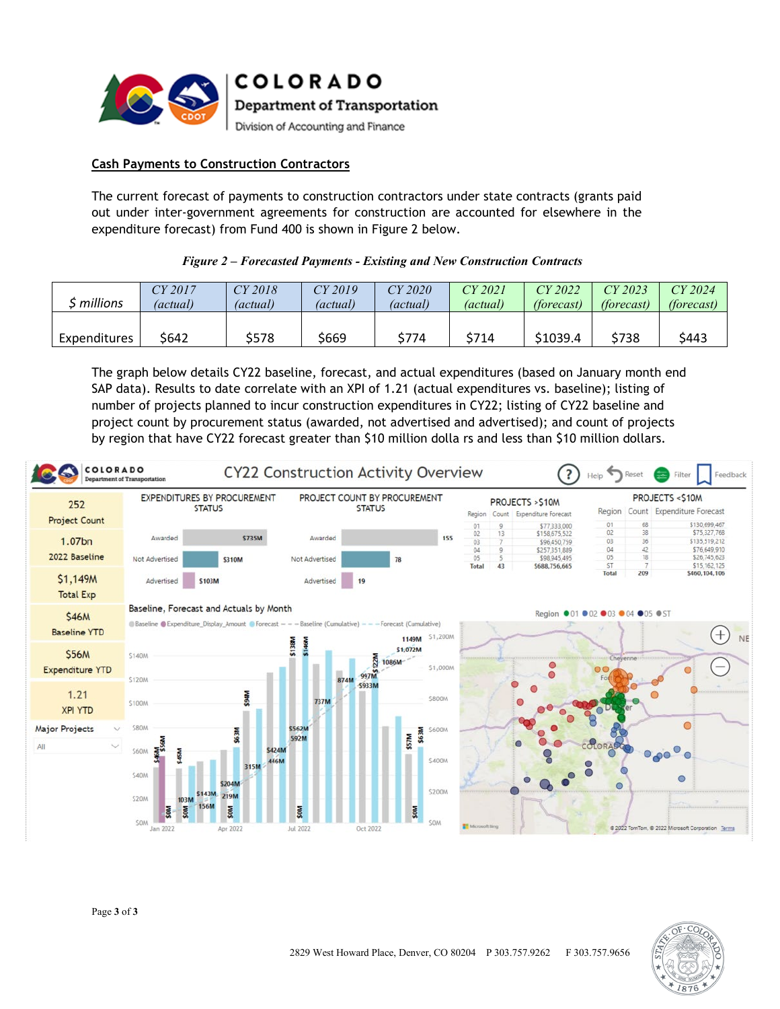

**COLORADO** Department of Transportation

Division of Accounting and Finance

# **Cash Payments to Construction Contractors**

The current forecast of payments to construction contractors under state contracts (grants paid out under inter-government agreements for construction are accounted for elsewhere in the expenditure forecast) from Fund 400 is shown in Figure 2 below.

## *Figure 2 – Forecasted Payments - Existing and New Construction Contracts*

| millions     | CY 2017  | CY 2018         | $CY$ 2019 | CY 2020  | CY 2021         | $CY$ 2022         | CY 2023           | CY 2024    |
|--------------|----------|-----------------|-----------|----------|-----------------|-------------------|-------------------|------------|
|              | (actual) | <i>(actual)</i> | (actual)  | (actual) | <i>(actual)</i> | <i>(forecast)</i> | <i>(forecast)</i> | (forecast) |
| Expenditures | \$642    | \$578           | \$669     | \$774    | \$714           | \$1039.4          | \$738             | \$443      |

The graph below details CY22 baseline, forecast, and actual expenditures (based on January month end SAP data). Results to date correlate with an XPI of 1.21 (actual expenditures vs. baseline); listing of number of projects planned to incur construction expenditures in CY22; listing of CY22 baseline and project count by procurement status (awarded, not advertised and advertised); and count of projects by region that have CY22 forecast greater than \$10 million dolla rs and less than \$10 million dollars.

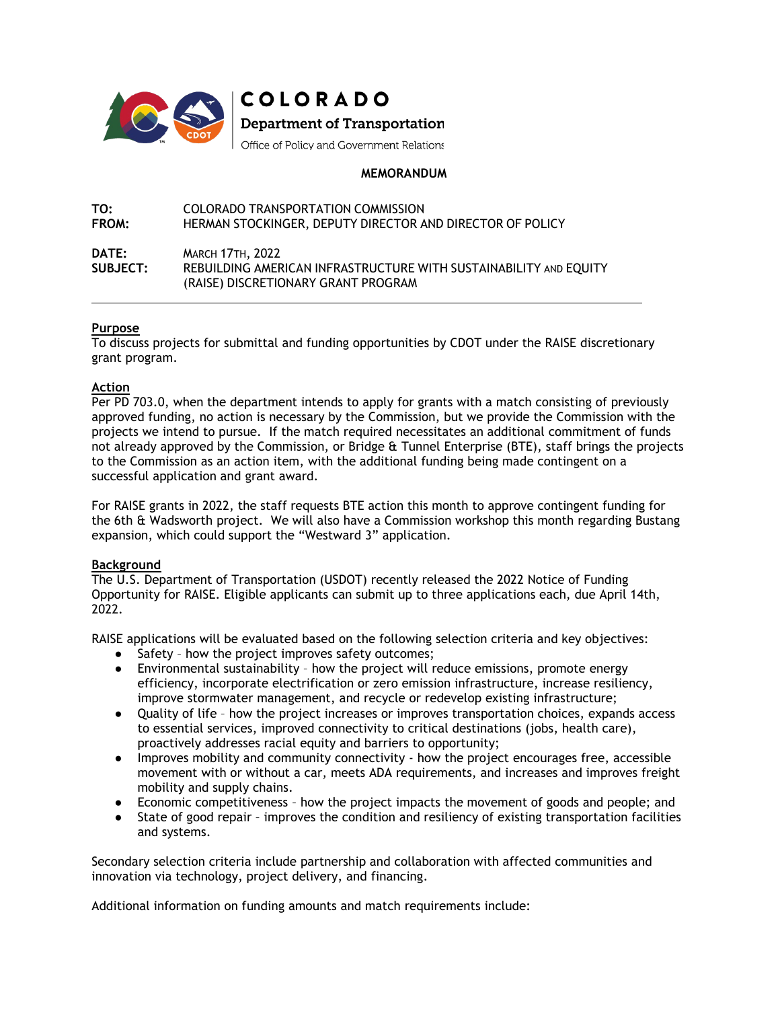

COLORADO **Department of Transportation** 

Office of Policy and Government Relations

## **MEMORANDUM**

**TO: COLORADO TRANSPORTATION COMMISSION<br><b>FROM:** HERMAN STOCKINGER. DEPUTY DIRECTOR A HERMAN STOCKINGER, DEPUTY DIRECTOR AND DIRECTOR OF POLICY

#### **DATE:** MARCH 17TH, 2022 **SUBJECT:** REBUILDING AMERICAN INFRASTRUCTURE WITH SUSTAINABILITY AND EQUITY (RAISE) DISCRETIONARY GRANT PROGRAM

## **Purpose**

 $\overline{a}$ 

To discuss projects for submittal and funding opportunities by CDOT under the RAISE discretionary grant program.

## **Action**

Per PD 703.0, when the department intends to apply for grants with a match consisting of previously approved funding, no action is necessary by the Commission, but we provide the Commission with the projects we intend to pursue. If the match required necessitates an additional commitment of funds not already approved by the Commission, or Bridge & Tunnel Enterprise (BTE), staff brings the projects to the Commission as an action item, with the additional funding being made contingent on a successful application and grant award.

For RAISE grants in 2022, the staff requests BTE action this month to approve contingent funding for the 6th & Wadsworth project. We will also have a Commission workshop this month regarding Bustang expansion, which could support the "Westward 3" application.

#### **Background**

The U.S. Department of Transportation (USDOT) recently released the 2022 Notice of Funding Opportunity for RAISE. Eligible applicants can submit up to three applications each, due April 14th, 2022.

RAISE applications will be evaluated based on the following selection criteria and key objectives:

- Safety how the project improves safety outcomes;
- Environmental sustainability how the project will reduce emissions, promote energy efficiency, incorporate electrification or zero emission infrastructure, increase resiliency, improve stormwater management, and recycle or redevelop existing infrastructure;
- Quality of life how the project increases or improves transportation choices, expands access to essential services, improved connectivity to critical destinations (jobs, health care), proactively addresses racial equity and barriers to opportunity;
- Improves mobility and community connectivity how the project encourages free, accessible movement with or without a car, meets ADA requirements, and increases and improves freight mobility and supply chains.
- Economic competitiveness how the project impacts the movement of goods and people; and
- State of good repair improves the condition and resiliency of existing transportation facilities and systems.

Secondary selection criteria include partnership and collaboration with affected communities and innovation via technology, project delivery, and financing.

Additional information on funding amounts and match requirements include: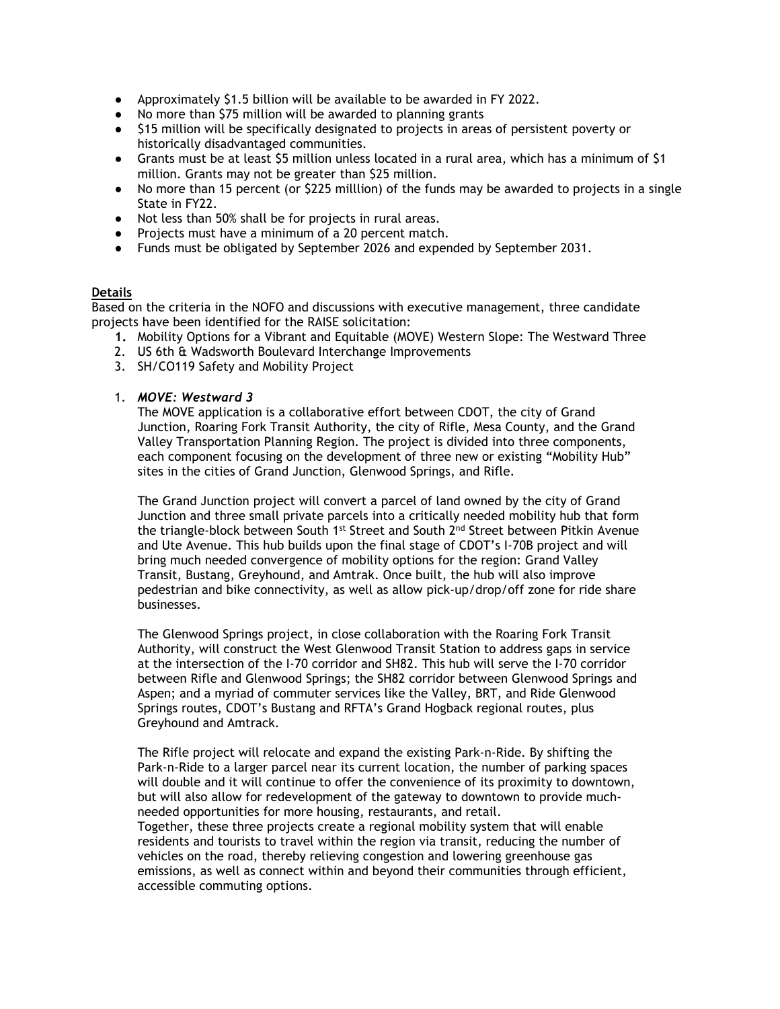- Approximately \$1.5 billion will be available to be awarded in FY 2022.
- No more than \$75 million will be awarded to planning grants
- \$15 million will be specifically designated to projects in areas of persistent poverty or historically disadvantaged communities.
- Grants must be at least \$5 million unless located in a rural area, which has a minimum of \$1 million. Grants may not be greater than \$25 million.
- No more than 15 percent (or \$225 milllion) of the funds may be awarded to projects in a single State in FY22.
- Not less than 50% shall be for projects in rural areas.
- Projects must have a minimum of a 20 percent match.
- Funds must be obligated by September 2026 and expended by September 2031.

## **Details**

Based on the criteria in the NOFO and discussions with executive management, three candidate projects have been identified for the RAISE solicitation:

- **1.** Mobility Options for a Vibrant and Equitable (MOVE) Western Slope: The Westward Three
- 2. US 6th & Wadsworth Boulevard Interchange Improvements
- 3. SH/CO119 Safety and Mobility Project
- 1. *MOVE: Westward 3*

The MOVE application is a collaborative effort between CDOT, the city of Grand Junction, Roaring Fork Transit Authority, the city of Rifle, Mesa County, and the Grand Valley Transportation Planning Region. The project is divided into three components, each component focusing on the development of three new or existing "Mobility Hub" sites in the cities of Grand Junction, Glenwood Springs, and Rifle.

The Grand Junction project will convert a parcel of land owned by the city of Grand Junction and three small private parcels into a critically needed mobility hub that form the triangle-block between South 1<sup>st</sup> Street and South  $2^{nd}$  Street between Pitkin Avenue and Ute Avenue. This hub builds upon the final stage of CDOT's I-70B project and will bring much needed convergence of mobility options for the region: Grand Valley Transit, Bustang, Greyhound, and Amtrak. Once built, the hub will also improve pedestrian and bike connectivity, as well as allow pick-up/drop/off zone for ride share businesses.

The Glenwood Springs project, in close collaboration with the Roaring Fork Transit Authority, will construct the West Glenwood Transit Station to address gaps in service at the intersection of the I-70 corridor and SH82. This hub will serve the I-70 corridor between Rifle and Glenwood Springs; the SH82 corridor between Glenwood Springs and Aspen; and a myriad of commuter services like the Valley, BRT, and Ride Glenwood Springs routes, CDOT's Bustang and RFTA's Grand Hogback regional routes, plus Greyhound and Amtrack.

The Rifle project will relocate and expand the existing Park-n-Ride. By shifting the Park-n-Ride to a larger parcel near its current location, the number of parking spaces will double and it will continue to offer the convenience of its proximity to downtown, but will also allow for redevelopment of the gateway to downtown to provide muchneeded opportunities for more housing, restaurants, and retail.

Together, these three projects create a regional mobility system that will enable residents and tourists to travel within the region via transit, reducing the number of vehicles on the road, thereby relieving congestion and lowering greenhouse gas emissions, as well as connect within and beyond their communities through efficient, accessible commuting options.